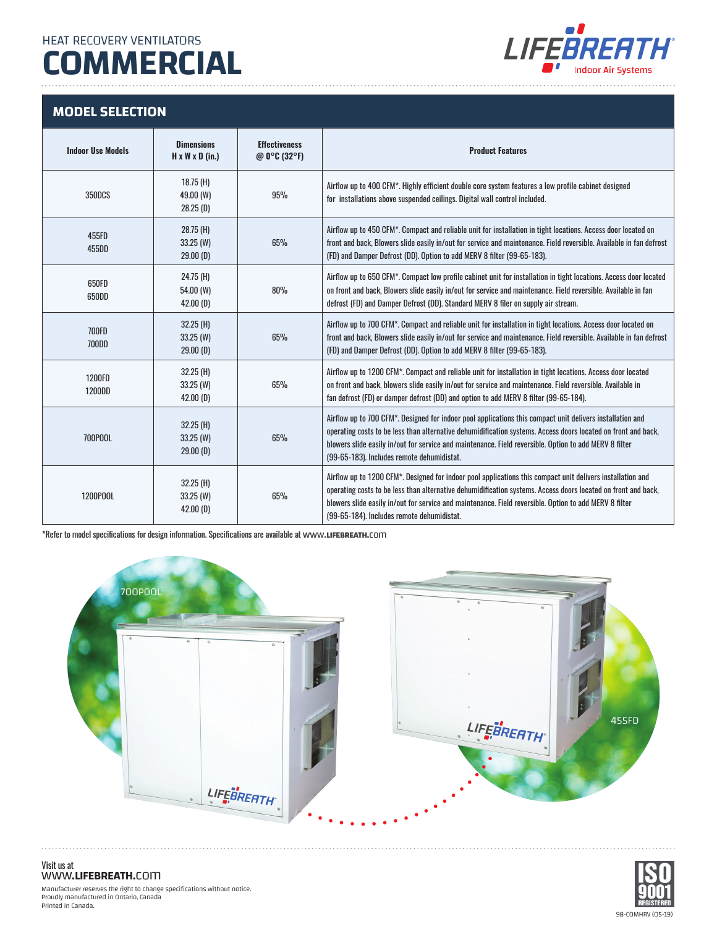## **COMMERCIAL**



#### **MODEL SELECTION**

| <b>Indoor Use Models</b> | <b>Dimensions</b><br>$H \times W \times D$ (in.) | <b>Effectiveness</b><br>@ $0^{\circ}$ C (32°F) | <b>Product Features</b>                                                                                                                                                                                                                                                                                                                                                             |
|--------------------------|--------------------------------------------------|------------------------------------------------|-------------------------------------------------------------------------------------------------------------------------------------------------------------------------------------------------------------------------------------------------------------------------------------------------------------------------------------------------------------------------------------|
| <b>350DCS</b>            | $18.75$ (H)<br>49.00 (W)<br>28.25(D)             | 95%                                            | Airflow up to 400 CFM*. Highly efficient double core system features a low profile cabinet designed<br>for installations above suspended ceilings. Digital wall control included.                                                                                                                                                                                                   |
| 455FD<br>455DD           | $28.75$ (H)<br>$33.25$ (W)<br>29.00(D)           | 65%                                            | Airflow up to 450 CFM*. Compact and reliable unit for installation in tight locations. Access door located on<br>front and back, Blowers slide easily in/out for service and maintenance. Field reversible. Available in fan defrost<br>(FD) and Damper Defrost (DD). Option to add MERV 8 filter (99-65-183).                                                                      |
| 650FD<br>650DD           | 24.75 (H)<br>54.00 (W)<br>$42.00$ (D)            | 80%                                            | Airflow up to 650 CFM*. Compact low profile cabinet unit for installation in tight locations. Access door located<br>on front and back, Blowers slide easily in/out for service and maintenance. Field reversible. Available in fan<br>defrost (FD) and Damper Defrost (DD). Standard MERV 8 filer on supply air stream.                                                            |
| <b>700FD</b><br>700DD    | 32.25 (H)<br>$33.25$ (W)<br>$29.00$ (D)          | 65%                                            | Airflow up to 700 CFM*. Compact and reliable unit for installation in tight locations. Access door located on<br>front and back, Blowers slide easily in/out for service and maintenance. Field reversible. Available in fan defrost<br>(FD) and Damper Defrost (DD). Option to add MERV 8 filter (99-65-183).                                                                      |
| 1200FD<br>1200DD         | $32.25$ (H)<br>$33.25$ (W)<br>$42.00$ (D)        | 65%                                            | Airflow up to 1200 CFM*. Compact and reliable unit for installation in tight locations. Access door located<br>on front and back, blowers slide easily in/out for service and maintenance. Field reversible. Available in<br>fan defrost (FD) or damper defrost (DD) and option to add MERV 8 filter (99-65-184).                                                                   |
| 700P00L                  | $32.25$ (H)<br>$33.25$ (W)<br>$29.00$ (D)        | 65%                                            | Airflow up to 700 CFM*. Designed for indoor pool applications this compact unit delivers installation and<br>operating costs to be less than alternative dehumidification systems. Access doors located on front and back,<br>blowers slide easily in/out for service and maintenance. Field reversible. Option to add MERV 8 filter<br>(99-65-183). Includes remote dehumidistat.  |
| 1200P00L                 | $32.25$ (H)<br>33.25 (W)<br>$42.00$ (D)          | 65%                                            | Airflow up to 1200 CFM*. Designed for indoor pool applications this compact unit delivers installation and<br>operating costs to be less than alternative dehumidification systems. Access doors located on front and back,<br>blowers slide easily in/out for service and maintenance. Field reversible. Option to add MERV 8 filter<br>(99-65-184). Includes remote dehumidistat. |

\*Refer to model specifications for design information. Specifications are available at www**.LIFEBREATH.**com





#### Visit us at www**.LIFEBREATH.**com

Manufacturer reserves the right to change specifications without notice. Proudly manufactured in Ontario, Canada Printed in Canada.